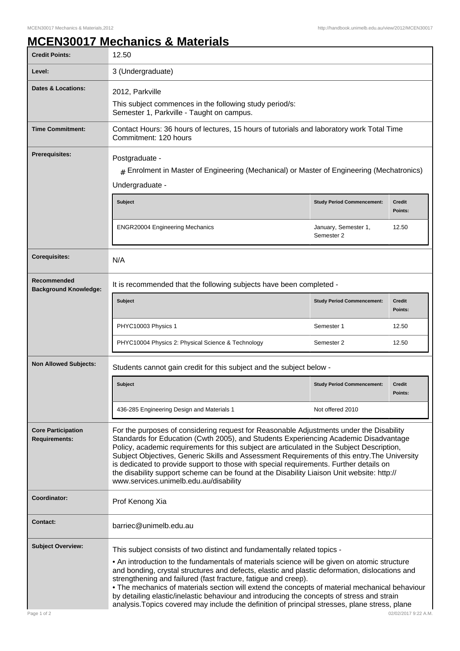## **MCEN30017 Mechanics & Materials**

| <b>Credit Points:</b>                                                                                              | 12.50                                                                                                                                                                                                                                                                                                                                                                                                                                                                                                                                                                                                                                          |                                    |                          |
|--------------------------------------------------------------------------------------------------------------------|------------------------------------------------------------------------------------------------------------------------------------------------------------------------------------------------------------------------------------------------------------------------------------------------------------------------------------------------------------------------------------------------------------------------------------------------------------------------------------------------------------------------------------------------------------------------------------------------------------------------------------------------|------------------------------------|--------------------------|
| Level:                                                                                                             | 3 (Undergraduate)                                                                                                                                                                                                                                                                                                                                                                                                                                                                                                                                                                                                                              |                                    |                          |
| <b>Dates &amp; Locations:</b>                                                                                      | 2012, Parkville<br>This subject commences in the following study period/s:<br>Semester 1, Parkville - Taught on campus.                                                                                                                                                                                                                                                                                                                                                                                                                                                                                                                        |                                    |                          |
| <b>Time Commitment:</b>                                                                                            | Contact Hours: 36 hours of lectures, 15 hours of tutorials and laboratory work Total Time<br>Commitment: 120 hours                                                                                                                                                                                                                                                                                                                                                                                                                                                                                                                             |                                    |                          |
| <b>Prerequisites:</b>                                                                                              | Postgraduate -<br>$#$ Enrolment in Master of Engineering (Mechanical) or Master of Engineering (Mechatronics)<br>Undergraduate -                                                                                                                                                                                                                                                                                                                                                                                                                                                                                                               |                                    |                          |
|                                                                                                                    | <b>Subject</b>                                                                                                                                                                                                                                                                                                                                                                                                                                                                                                                                                                                                                                 | <b>Study Period Commencement:</b>  | <b>Credit</b><br>Points: |
|                                                                                                                    | <b>ENGR20004 Engineering Mechanics</b>                                                                                                                                                                                                                                                                                                                                                                                                                                                                                                                                                                                                         | January, Semester 1,<br>Semester 2 | 12.50                    |
| <b>Corequisites:</b>                                                                                               | N/A                                                                                                                                                                                                                                                                                                                                                                                                                                                                                                                                                                                                                                            |                                    |                          |
| Recommended<br>It is recommended that the following subjects have been completed -<br><b>Background Knowledge:</b> |                                                                                                                                                                                                                                                                                                                                                                                                                                                                                                                                                                                                                                                |                                    |                          |
|                                                                                                                    | <b>Subject</b>                                                                                                                                                                                                                                                                                                                                                                                                                                                                                                                                                                                                                                 | <b>Study Period Commencement:</b>  | <b>Credit</b><br>Points: |
|                                                                                                                    | PHYC10003 Physics 1                                                                                                                                                                                                                                                                                                                                                                                                                                                                                                                                                                                                                            | Semester 1                         | 12.50                    |
|                                                                                                                    | PHYC10004 Physics 2: Physical Science & Technology                                                                                                                                                                                                                                                                                                                                                                                                                                                                                                                                                                                             | Semester 2                         | 12.50                    |
| <b>Non Allowed Subjects:</b>                                                                                       | Students cannot gain credit for this subject and the subject below -                                                                                                                                                                                                                                                                                                                                                                                                                                                                                                                                                                           |                                    |                          |
|                                                                                                                    | <b>Subject</b>                                                                                                                                                                                                                                                                                                                                                                                                                                                                                                                                                                                                                                 | <b>Study Period Commencement:</b>  | <b>Credit</b><br>Points: |
|                                                                                                                    | 436-285 Engineering Design and Materials 1                                                                                                                                                                                                                                                                                                                                                                                                                                                                                                                                                                                                     | Not offered 2010                   |                          |
| <b>Core Participation</b><br><b>Requirements:</b>                                                                  | For the purposes of considering request for Reasonable Adjustments under the Disability<br>Standards for Education (Cwth 2005), and Students Experiencing Academic Disadvantage<br>Policy, academic requirements for this subject are articulated in the Subject Description,<br>Subject Objectives, Generic Skills and Assessment Requirements of this entry. The University<br>is dedicated to provide support to those with special requirements. Further details on<br>the disability support scheme can be found at the Disability Liaison Unit website: http://<br>www.services.unimelb.edu.au/disability                                |                                    |                          |
| Coordinator:                                                                                                       | Prof Kenong Xia                                                                                                                                                                                                                                                                                                                                                                                                                                                                                                                                                                                                                                |                                    |                          |
| <b>Contact:</b>                                                                                                    | barriec@unimelb.edu.au                                                                                                                                                                                                                                                                                                                                                                                                                                                                                                                                                                                                                         |                                    |                          |
| <b>Subject Overview:</b>                                                                                           | This subject consists of two distinct and fundamentally related topics -<br>. An introduction to the fundamentals of materials science will be given on atomic structure<br>and bonding, crystal structures and defects, elastic and plastic deformation, dislocations and<br>strengthening and failured (fast fracture, fatigue and creep).<br>. The mechanics of materials section will extend the concepts of material mechanical behaviour<br>by detailing elastic/inelastic behaviour and introducing the concepts of stress and strain<br>analysis. Topics covered may include the definition of principal stresses, plane stress, plane |                                    |                          |